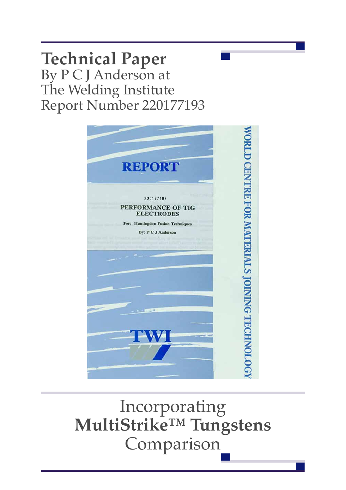# **Technical Paper** By P C J Anderson at The Welding Institute Report Number 220177193



Incorporating **MultiStrike™ Tungstens** Comparison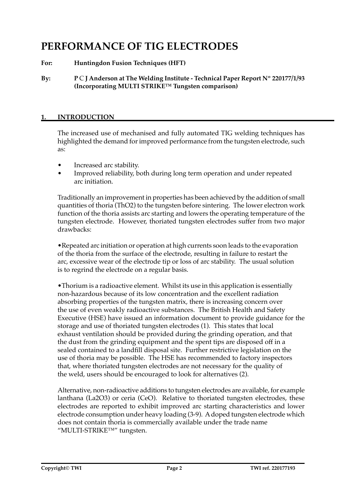# **PERFORMANCE OF TIG ELECTRODES**

**For: Huntingdon Fusion Techniques (HFT)**

**By: P** C **J Anderson at The Welding Institute - Technical Paper Report Nº 220177/1/93 (Incorporating MULTI STRIKE™ Tungsten comparison)**

# **1. INTRODUCTION**

The increased use of mechanised and fully automated TIG welding techniques has highlighted the demand for improved performance from the tungsten electrode, such as:

- Increased arc stability.
- Improved reliability, both during long term operation and under repeated arc initiation.

Traditionally an improvement in properties has been achieved by the addition of small quantities of thoria (ThO2) to the tungsten before sintering. The lower electron work function of the thoria assists arc starting and lowers the operating temperature of the tungsten electrode. However, thoriated tungsten electrodes suffer from two major drawbacks:

 •Repeated arc initiation or operation at high currents soon leads to the evaporation of the thoria from the surface of the electrode, resulting in failure to restart the arc, excessive wear of the electrode tip or loss of arc stability. The usual solution is to regrind the electrode on a regular basis.

 •Thorium is a radioactive element. Whilst its use in this application is essentially non-hazardous because of its low concentration and the excellent radiation absorbing properties of the tungsten matrix, there is increasing concern over the use of even weakly radioactive substances. The British Health and Safety Executive (HSE) have issued an information document to provide guidance for the storage and use of thoriated tungsten electrodes (1). This states that local exhaust ventilation should be provided during the grinding operation, and that the dust from the grinding equipment and the spent tips are disposed off in a sealed contained to a landfill disposal site. Further restrictive legislation on the use of thoria may be possible. The HSE has recommended to factory inspectors that, where thoriated tungsten electrodes are not necessary for the quality of the weld, users should be encouraged to look for alternatives (2).

Alternative, non-radioactive additions to tungsten electrodes are available, for example lanthana (La2O3) or ceria (CeO). Relative to thoriated tungsten electrodes, these electrodes are reported to exhibit improved arc starting characteristics and lower electrode consumption under heavy loading (3-9). Adoped tungsten electrode which does not contain thoria is commercially available under the trade name "MULTI-STRIKE™" tungsten.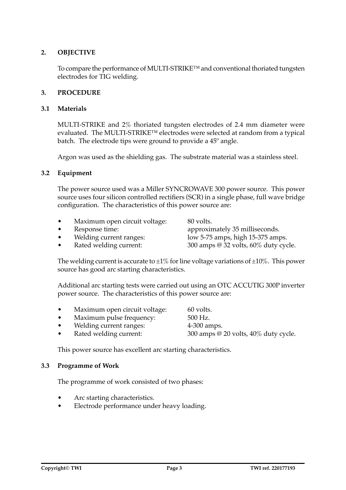# **2. OBJECTIVE**

To compare the performance of MULTI-STRIKE™ and conventional thoriated tungsten electrodes for TIG welding.

#### **3. PROCEDURE**

#### **3.1 Materials**

 MULTI-STRIKE and 2% thoriated tungsten electrodes of 2.4 mm diameter were evaluated. The MULTI-STRIKE™ electrodes were selected at random from a typical batch. The electrode tips were ground to provide a 45º angle.

 Argon was used as the shielding gas. The substrate material was a stainless steel.

#### **3.2 Equipment**

 The power source used was a Miller SYNCROWAVE 300 power source. This power source uses four silicon controlled rectifiers (SCR) in a single phase, full wave bridge configuration. The characteristics of this power source are:

Maximum open circuit voltage: 80 volts.

source has good arc starting characteristics.

Response time:  $\qquad \qquad \text{approximately 35 milliseconds.}$ Welding current ranges:  $\frac{1}{2}$  low 5-75 amps, high 15-375 amps. Rated welding current:  $300 \text{ amps} @ 32 \text{ volts}, 60\%$  duty cycle.

The welding current is accurate to  $\pm 1\%$  for line voltage variations of  $\pm 10\%$ . This power

Additional arc starting tests were carried out using an OTC ACCUTIG 300P inverter power source. The characteristics of this power source are:

- Maximum open circuit voltage: 60 volts.
- Maximum pulse frequency:  $500$  Hz.
- Welding current ranges:  $4-300$  amps.
- Rated welding current:  $300 \text{ amps} @ 20 \text{ volts}, 40\%$  duty cycle.

 This power source has excellent arc starting characteristics.

#### **3.3 Programme of Work**

 The programme of work consisted of two phases:

- Arc starting characteristics.
- Electrode performance under heavy loading.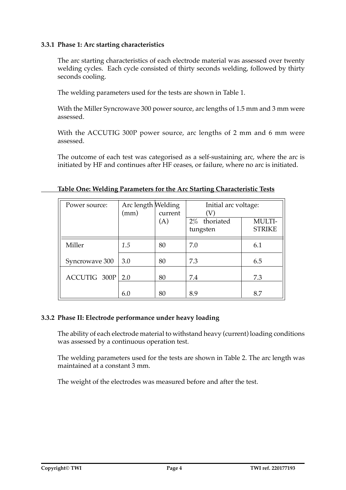# **3.3.1 Phase 1: Arc starting characteristics**

The arc starting characteristics of each electrode material was assessed over twenty welding cycles. Each cycle consisted of thirty seconds welding, followed by thirty seconds cooling.

 The welding parameters used for the tests are shown in Table 1.

 With the Miller Syncrowave 300 power source, arc lengths of 1.5 mm and 3 mm were assessed.

 With the ACCUTIG 300P power source, arc lengths of 2 mm and 6 mm were assessed.

The outcome of each test was categorised as a self-sustaining arc, where the arc is initiated by HF and continues after HF ceases, or failure, where no arc is initiated.

| Power source:  | Arc length Welding<br>(mm) | current<br>(A) | Initial arc voltage:<br>$\left( \mathrm{V}\right)$<br>2% thoriated<br>tungsten | MULTI-<br><b>STRIKE</b> |
|----------------|----------------------------|----------------|--------------------------------------------------------------------------------|-------------------------|
| Miller         | 1.5                        | 80             | 7.0                                                                            | 6.1                     |
| Syncrowave 300 | 3.0                        | 80             | 7.3                                                                            | 6.5                     |
| ACCUTIG 300P   | 2.0                        | 80             | 7.4                                                                            | 7.3                     |
|                | 6.0                        | 80             | 8.9                                                                            | 8.7                     |

#### **Table One: Welding Parameters for the Arc Starting Characteristic Tests**

#### **3.3.2 Phase II: Electrode performance under heavy loading**

The ability of each electrode material to withstand heavy (current) loading conditions was assessed by a continuous operation test.

 The welding parameters used for the tests are shown in Table 2. The arc length was maintained at a constant 3 mm.

 The weight of the electrodes was measured before and after the test.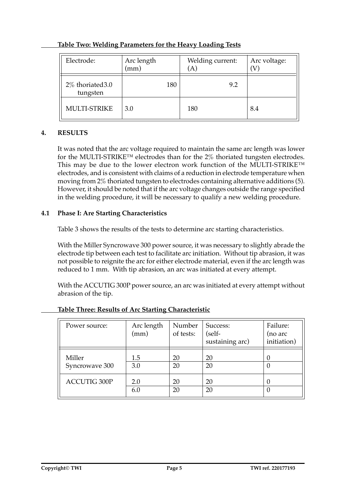| Electrode:                   | Arc length<br>(mm) | Welding current:<br>[A] | Arc voltage: |
|------------------------------|--------------------|-------------------------|--------------|
| 2% thoriated 3.0<br>tungsten | 180                | 9.2                     |              |
| <b>MULTI-STRIKE</b>          | 3.0                | 180                     | 8.4          |

# **Table Two: Welding Parameters for the Heavy Loading Tests**

# **4. RESULTS**

It was noted that the arc voltage required to maintain the same arc length was lower for the MULTI-STRIKE™ electrodes than for the 2% thoriated tungsten electrodes. This may be due to the lower electron work function of the MULTI-STRIKE™ electrodes, and is consistent with claims of a reduction in electrode temperature when moving from 2% thoriated tungsten to electrodes containing alternative additions (5). However, it should be noted that if the arc voltage changes outside the range specified in the welding procedure, it will be necessary to qualify a new welding procedure.

# **4.1 Phase I: Are Starting Characteristics**

 Table 3 shows the results of the tests to determine arc starting characteristics.

 With the Miller Syncrowave 300 power source, it was necessary to slightly abrade the electrode tip between each test to facilitate arc initiation. Without tip abrasion, it was not possible to reignite the arc for either electrode material, even if the arc length was reduced to 1 mm. With tip abrasion, an arc was initiated at every attempt.

With the ACCUTIG 300P power source, an arc was initiated at every attempt without abrasion of the tip.

| Power source:            | Arc length<br>(mm) | Number<br>of tests: | Success:<br>(self-<br>sustaining arc) | Failure:<br>(no arc<br>initiation) |
|--------------------------|--------------------|---------------------|---------------------------------------|------------------------------------|
| Miller<br>Syncrowave 300 | 1.5<br>3.0         | 20<br>20            | 20<br>20                              | U                                  |
| <b>ACCUTIG 300P</b>      | 2.0<br>6.0         | 20<br>20            | 20<br>20                              |                                    |

# **Table Three: Results of Arc Starting Characteristic**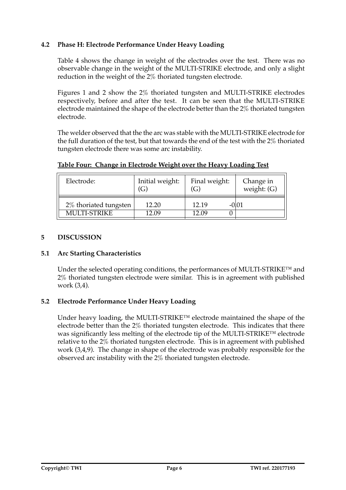# **4.2 Phase H: Electrode Performance Under Heavy Loading**

 Table 4 shows the change in weight of the electrodes over the test. There was no observable change in the weight of the MULTI-STRIKE electrode, and only a slight reduction in the weight of the 2% thoriated tungsten electrode.

 Figures 1 and 2 show the 2% thoriated tungsten and MULTI-STRIKE electrodes respectively, before and after the test. It can be seen that the MULTI-STRIKE electrode maintained the shape of the electrode better than the 2% thoriated tungsten electrode.

 The welder observed that the the arc was stable with the MULTI-STRIKE electrode for the full duration of the test, but that towards the end of the test with the 2% thoriated tungsten electrode there was some arc instability.

| Electrode:            | Initial weight:   | Final weight:     | Change in     |
|-----------------------|-------------------|-------------------|---------------|
|                       | $\left( G\right)$ | $\left( G\right)$ | weight: $(G)$ |
| 2% thoriated tungsten | 12.20             | 12.19             | -0101         |
| <b>MULTI-STRIKE</b>   | 12.09             | 12.09             |               |

**Table Four: Change in Electrode Weight over the Heavy Loading Test**

# **5 DISCUSSION**

# **5.1 Arc Starting Characteristics**

Under the selected operating conditions, the performances of MULTI-STRIKE<sup>TM</sup> and 2% thoriated tungsten electrode were similar. This is in agreement with published work (3,4).

# **5.2 Electrode Performance Under Heavy Loading**

 Under heavy loading, the MULTI-STRIKE™ electrode maintained the shape of the electrode better than the 2% thoriated tungsten electrode. This indicates that there was significantly less melting of the electrode tip of the MULTI-STRIKE™ electrode relative to the 2% thoriated tungsten electrode. This is in agreement with published work (3,4,9). The change in shape of the electrode was probably responsible for the observed arc instability with the 2% thoriated tungsten electrode.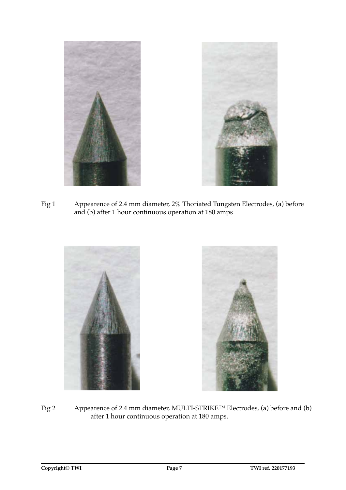

Fig 1 Appearence of 2.4 mm diameter, 2% Thoriated Tungsten Electrodes, (a) before and (b) after 1 hour continuous operation at 180 amps



Fig 2 Appearence of 2.4 mm diameter, MULTI-STRIKE™ Electrodes, (a) before and (b) after 1 hour continuous operation at 180 amps.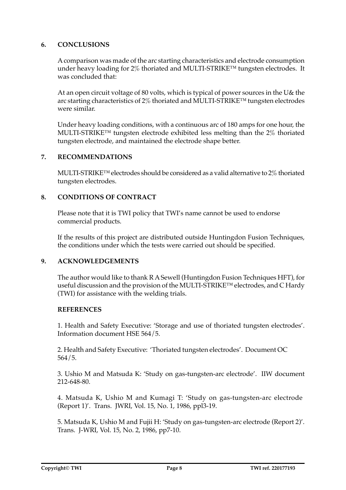# **6. CONCLUSIONS**

A comparison was made of the arc starting characteristics and electrode consumption under heavy loading for 2% thoriated and MULTI-STRIKE™ tungsten electrodes. It was concluded that:

 At an open circuit voltage of 80 volts, which is typical of power sources in the U& the arc starting characteristics of 2% thoriated and MULTI-STRIKE™ tungsten electrodes were similar.

 Under heavy loading conditions, with a continuous arc of 180 amps for one hour, the MULTI-STRIKE™ tungsten electrode exhibited less melting than the 2% thoriated tungsten electrode, and maintained the electrode shape better.

# **7. RECOMMENDATIONS**

MULTI-STRIKE<sup>™</sup> electrodes should be considered as a valid alternative to 2% thoriated tungsten electrodes.

# **8. CONDITIONS OF CONTRACT**

Please note that it is TWI policy that TWI's name cannot be used to endorse commercial products.

 If the results of this project are distributed outside Huntingdon Fusion Techniques, the conditions under which the tests were carried out should be specified.

# **9. ACKNOWLEDGEMENTS**

 The author would like to thank R ASewell (Huntingdon Fusion Techniques HFT), for useful discussion and the provision of the MULTI-STRIKE™ electrodes, and C Hardy (TWI) for assistance with the welding trials.

#### **REFERENCES**

 1. Health and Safety Executive: 'Storage and use of thoriated tungsten electrodes'. Information document HSE 564/5.

 2. Health and Safety Executive: 'Thoriated tungsten electrodes'. Document OC 564/5.

 3. Ushio M and Matsuda K: 'Study on gas-tungsten-arc electrode'. IIW document 212-648-80.

 4. Matsuda K, Ushio M and Kumagi T: 'Study on gas-tungsten-arc electrode (Report 1)'. Trans. JWRI, Vol. 15, No. 1, 1986, ppl3-19.

 5. Matsuda K, Ushio M and Fujii H: 'Study on gas-tungsten-arc electrode (Report 2)'. Trans. J-WRI, Vol. 15, No. 2, 1986, pp7-10.